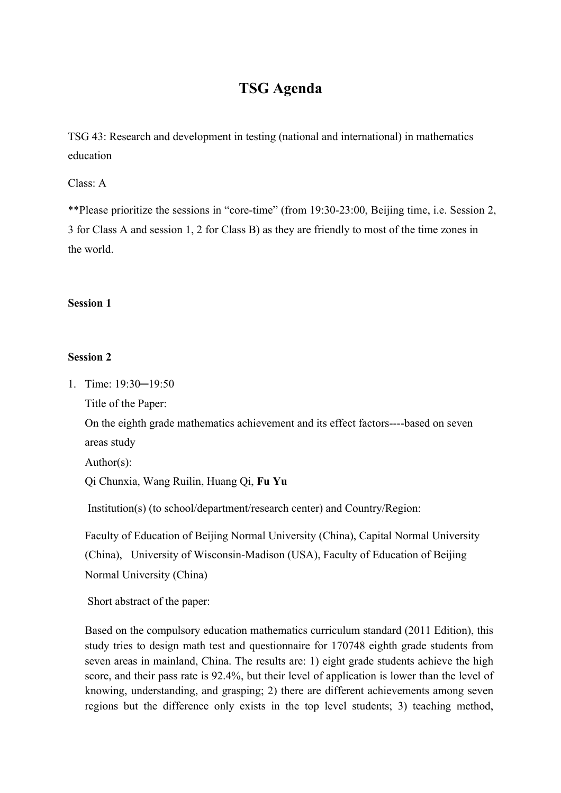# **TSG Agenda**

TSG 43: Research and development in testing (national and international) in mathematics education

Class: A

\*\*Please prioritize the sessions in "core-time" (from 19:30-23:00, Beijing time, i.e. Session 2, 3 for Class A and session 1, 2 for Class B) as they are friendly to most of the time zones in the world.

## **Session 1**

### **Session 2**

1. Time: 19:30─19:50

Title of the Paper:

On the eighth grade mathematics achievement and its effect factors----based on seven areas study

Author(s):

Qi Chunxia, Wang Ruilin, Huang Qi, **Fu Yu**

Institution(s) (to school/department/research center) and Country/Region:

Faculty of Education of Beijing Normal University (China), Capital Normal University (China), University of Wisconsin-Madison (USA), Faculty of Education of Beijing Normal University (China)

Short abstract of the paper:

Based on the compulsory education mathematics curriculum standard (2011 Edition), this study tries to design math test and questionnaire for 170748 eighth grade students from seven areas in mainland, China. The results are: 1) eight grade students achieve the high score, and their pass rate is 92.4%, but their level of application is lower than the level of knowing, understanding, and grasping; 2) there are different achievements among seven regions but the difference only exists in the top level students; 3) teaching method,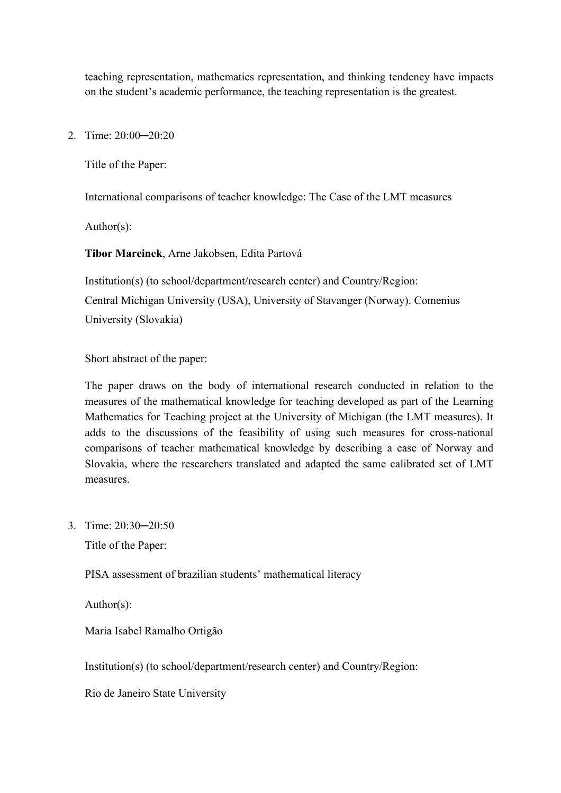teaching representation, mathematics representation, and thinking tendency have impacts on the student's academic performance, the teaching representation is the greatest.

2. Time: 20:00─20:20

Title of the Paper:

International comparisons of teacher knowledge: The Case of the LMT measures

Author(s):

**Tibor Marcinek**, Arne Jakobsen, Edita Partová

Institution(s) (to school/department/research center) and Country/Region: Central Michigan University (USA), University of Stavanger (Norway). Comenius University (Slovakia)

Short abstract of the paper:

The paper draws on the body of international research conducted in relation to the measures of the mathematical knowledge for teaching developed as part of the Learning Mathematics for Teaching project at the University of Michigan (the LMT measures). It adds to the discussions of the feasibility of using such measures for cross-national comparisons of teacher mathematical knowledge by describing a case of Norway and Slovakia, where the researchers translated and adapted the same calibrated set of LMT measures.

3. Time: 20:30─20:50

Title of the Paper:

PISA assessment of brazilian students' mathematical literacy

Author(s):

Maria Isabel Ramalho Ortigão

Institution(s) (to school/department/research center) and Country/Region:

Rio de Janeiro State University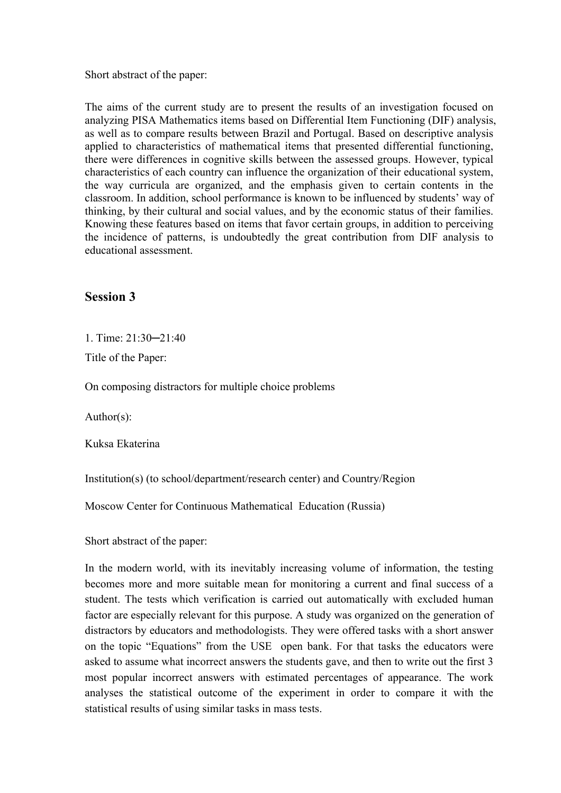Short abstract of the paper:

The aims of the current study are to present the results of an investigation focused on analyzing PISA Mathematics items based on Differential Item Functioning (DIF) analysis, as well as to compare results between Brazil and Portugal. Based on descriptive analysis applied to characteristics of mathematical items that presented differential functioning, there were differences in cognitive skills between the assessed groups. However, typical characteristics of each country can influence the organization of their educational system, the way curricula are organized, and the emphasis given to certain contents in the classroom. In addition, school performance is known to be influenced by students' way of thinking, by their cultural and social values, and by the economic status of their families. Knowing these features based on items that favor certain groups, in addition to perceiving the incidence of patterns, is undoubtedly the great contribution from DIF analysis to educational assessment.

## **Session 3**

1. Time: 21:30─21:40

Title of the Paper:

On composing distractors for multiple choice problems

Author(s):

Kuksa Ekaterina

Institution(s) (to school/department/research center) and Country/Region

Moscow Center for Continuous Mathematical Education (Russia)

Short abstract of the paper:

In the modern world, with its inevitably increasing volume of information, the testing becomes more and more suitable mean for monitoring a current and final success of a student. The tests which verification is carried out automatically with excluded human factor are especially relevant for this purpose. A study was organized on the generation of distractors by educators and methodologists. They were offered tasks with a short answer on the topic "Equations" from the USE open bank. For that tasks the educators were asked to assume what incorrect answers the students gave, and then to write out the first 3 most popular incorrect answers with estimated percentages of appearance. The work analyses the statistical outcome of the experiment in order to compare it with the statistical results of using similar tasks in mass tests.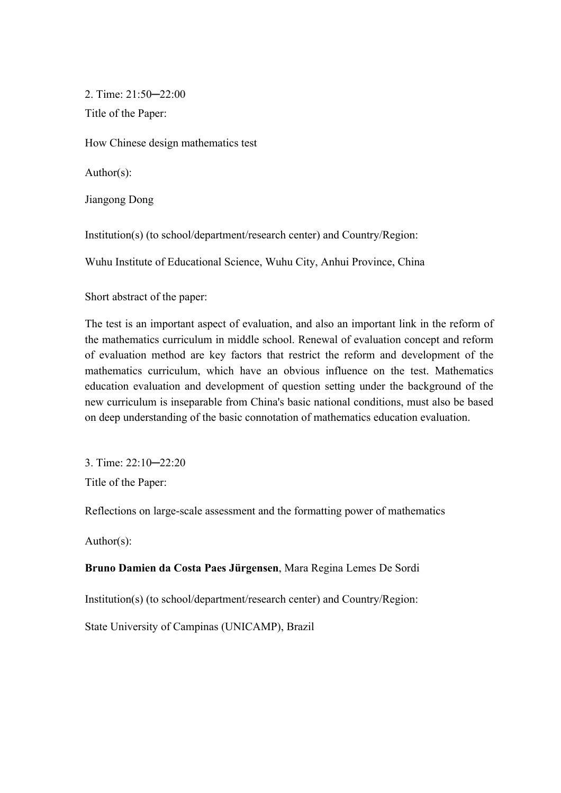2. Time: 21:50─22:00 Title of the Paper:

How Chinese design mathematics test

Author(s):

Jiangong Dong

Institution(s) (to school/department/research center) and Country/Region:

Wuhu Institute of Educational Science, Wuhu City, Anhui Province, China

Short abstract of the paper:

The test is an important aspect of evaluation, and also an important link in the reform of the mathematics curriculum in middle school. Renewal of evaluation concept and reform of evaluation method are key factors that restrict the reform and development of the mathematics curriculum, which have an obvious influence on the test. Mathematics education evaluation and development of question setting under the background of the new curriculum is inseparable from China's basic national conditions, must also be based on deep understanding of the basic connotation of mathematics education evaluation.

3. Time: 22:10─22:20 Title of the Paper:

Reflections on large-scale assessment and the formatting power of mathematics

Author(s):

### **Bruno Damien da Costa Paes Jürgensen**, Mara Regina Lemes De Sordi

Institution(s) (to school/department/research center) and Country/Region:

State University of Campinas (UNICAMP), Brazil